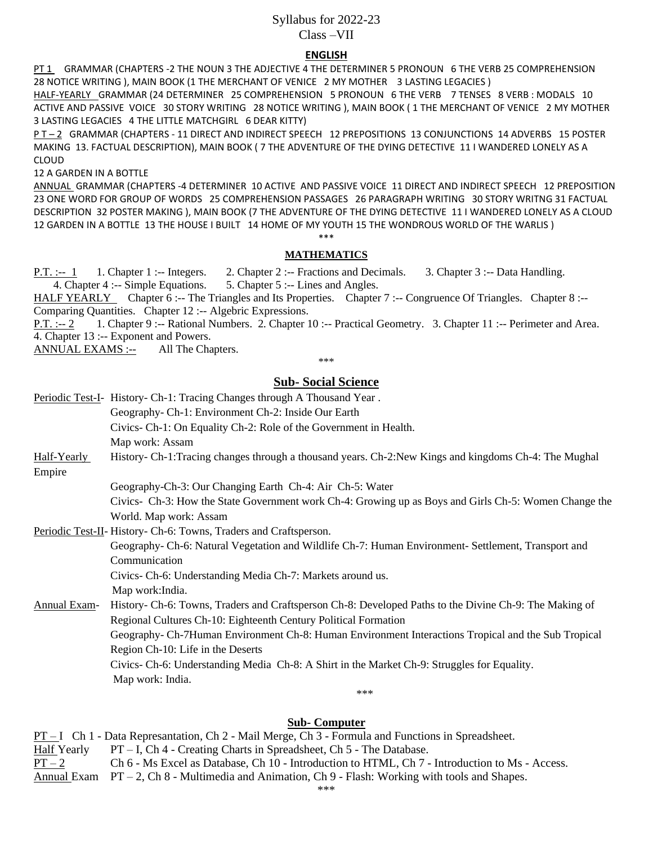# Syllabus for 2022-23 Class –VII

## **ENGLISH**

PT 1 GRAMMAR (CHAPTERS -2 THE NOUN 3 THE ADJECTIVE 4 THE DETERMINER 5 PRONOUN 6 THE VERB 25 COMPREHENSION 28 NOTICE WRITING ), MAIN BOOK (1 THE MERCHANT OF VENICE 2 MY MOTHER 3 LASTING LEGACIES )

HALF-YEARLY GRAMMAR (24 DETERMINER 25 COMPREHENSION 5 PRONOUN 6 THE VERB 7 TENSES 8 VERB : MODALS 10 ACTIVE AND PASSIVE VOICE 30 STORY WRITING 28 NOTICE WRITING ), MAIN BOOK ( 1 THE MERCHANT OF VENICE 2 MY MOTHER 3 LASTING LEGACIES 4 THE LITTLE MATCHGIRL 6 DEAR KITTY)

P T – 2 GRAMMAR (CHAPTERS - 11 DIRECT AND INDIRECT SPEECH 12 PREPOSITIONS 13 CONJUNCTIONS 14 ADVERBS 15 POSTER MAKING 13. FACTUAL DESCRIPTION), MAIN BOOK ( 7 THE ADVENTURE OF THE DYING DETECTIVE 11 I WANDERED LONELY AS A CLOUD

12 A GARDEN IN A BOTTLE

ANNUAL GRAMMAR (CHAPTERS -4 DETERMINER 10 ACTIVE AND PASSIVE VOICE 11 DIRECT AND INDIRECT SPEECH 12 PREPOSITION 23 ONE WORD FOR GROUP OF WORDS 25 COMPREHENSION PASSAGES 26 PARAGRAPH WRITING 30 STORY WRITNG 31 FACTUAL DESCRIPTION 32 POSTER MAKING ), MAIN BOOK (7 THE ADVENTURE OF THE DYING DETECTIVE 11 I WANDERED LONELY AS A CLOUD 12 GARDEN IN A BOTTLE 13 THE HOUSE I BUILT 14 HOME OF MY YOUTH 15 THE WONDROUS WORLD OF THE WARLIS )

#### \*\*\* **MATHEMATICS**

P.T. :-- 1 1. Chapter 1 :-- Integers. 2. Chapter 2 :-- Fractions and Decimals. 3. Chapter 3 :-- Data Handling. 4. Chapter 4 :-- Simple Equations. 5. Chapter 5 :-- Lines and Angles.

HALF YEARLY Chapter 6 :-- The Triangles and Its Properties. Chapter 7 :-- Congruence Of Triangles. Chapter 8 :--Comparing Quantities. Chapter 12 :-- Algebric Expressions.

P.T. :-- 2 1. Chapter 9 :-- Rational Numbers. 2. Chapter 10 :-- Practical Geometry. 3. Chapter 11 :-- Perimeter and Area. 4. Chapter 13 :-- Exponent and Powers.

ANNUAL EXAMS :-- All The Chapters.

\*\*\*

# **Sub- Social Science**

|              | Periodic Test-I- History- Ch-1: Tracing Changes through A Thousand Year.                               |
|--------------|--------------------------------------------------------------------------------------------------------|
|              | Geography- Ch-1: Environment Ch-2: Inside Our Earth                                                    |
|              | Civics- Ch-1: On Equality Ch-2: Role of the Government in Health.                                      |
|              | Map work: Assam                                                                                        |
| Half-Yearly  | History- Ch-1: Tracing changes through a thousand years. Ch-2: New Kings and kingdoms Ch-4: The Mughal |
| Empire       |                                                                                                        |
|              | Geography-Ch-3: Our Changing Earth Ch-4: Air Ch-5: Water                                               |
|              | Civics- Ch-3: How the State Government work Ch-4: Growing up as Boys and Girls Ch-5: Women Change the  |
|              | World. Map work: Assam                                                                                 |
|              | Periodic Test-II- History- Ch-6: Towns, Traders and Craftsperson.                                      |
|              | Geography- Ch-6: Natural Vegetation and Wildlife Ch-7: Human Environment- Settlement, Transport and    |
|              | Communication                                                                                          |
|              | Civics- Ch-6: Understanding Media Ch-7: Markets around us.                                             |
|              | Map work: India.                                                                                       |
| Annual Exam- | History- Ch-6: Towns, Traders and Craftsperson Ch-8: Developed Paths to the Divine Ch-9: The Making of |
|              | Regional Cultures Ch-10: Eighteenth Century Political Formation                                        |
|              | Geography- Ch-7Human Environment Ch-8: Human Environment Interactions Tropical and the Sub Tropical    |
|              | Region Ch-10: Life in the Deserts                                                                      |
|              | Civics- Ch-6: Understanding Media Ch-8: A Shirt in the Market Ch-9: Struggles for Equality.            |
|              | Map work: India.                                                                                       |
|              | $***$                                                                                                  |

### **Sub- Computer**

PT – I Ch 1 - Data Represantation, Ch 2 - Mail Merge, Ch 3 - Formula and Functions in Spreadsheet. Half Yearly PT – I, Ch 4 - Creating Charts in Spreadsheet, Ch 5 - The Database. PT – 2 Ch 6 - Ms Excel as Database, Ch 10 - Introduction to HTML, Ch 7 - Introduction to Ms - Access. Annual Exam PT – 2, Ch 8 - Multimedia and Animation, Ch 9 - Flash: Working with tools and Shapes.